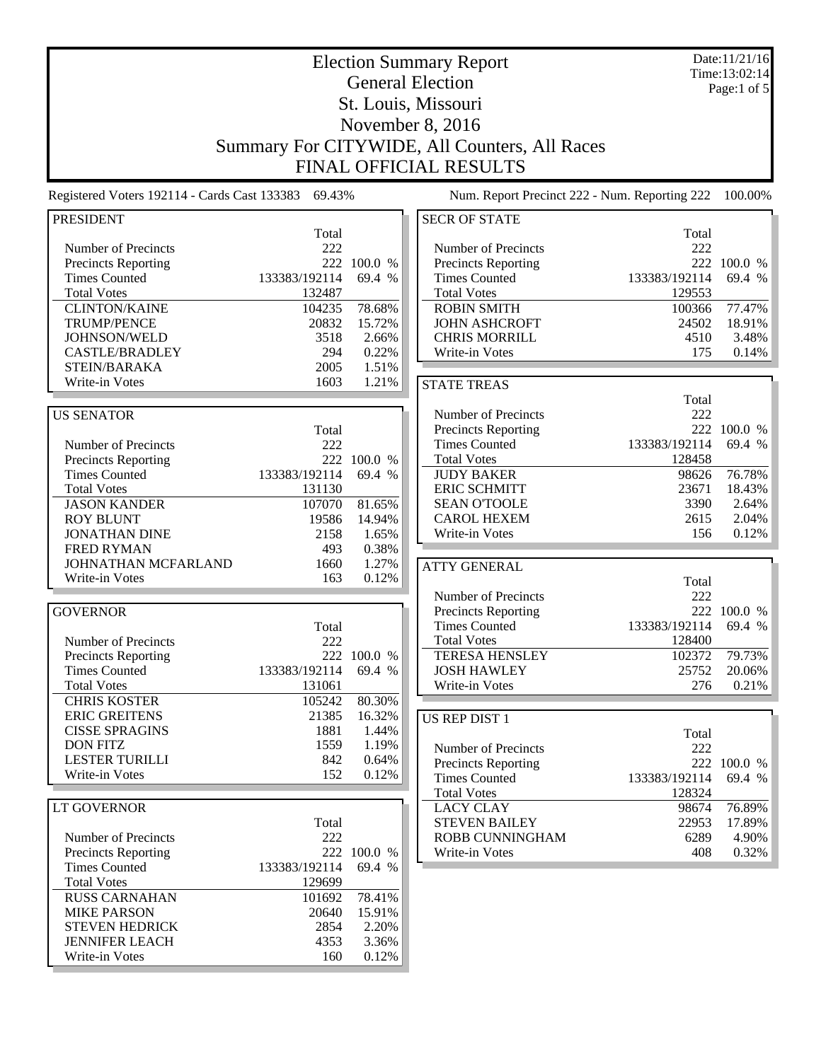| <b>Election Summary Report</b>                      |                         |                |                                                    |                | Date:11/21/16<br>Time:13:02:14 |  |
|-----------------------------------------------------|-------------------------|----------------|----------------------------------------------------|----------------|--------------------------------|--|
| <b>General Election</b>                             |                         |                |                                                    |                | Page:1 of $5$                  |  |
|                                                     |                         |                | St. Louis, Missouri                                |                |                                |  |
|                                                     |                         |                | November 8, 2016                                   |                |                                |  |
| Summary For CITYWIDE, All Counters, All Races       |                         |                |                                                    |                |                                |  |
|                                                     |                         |                |                                                    |                |                                |  |
|                                                     |                         |                | <b>FINAL OFFICIAL RESULTS</b>                      |                |                                |  |
| Registered Voters 192114 - Cards Cast 133383 69.43% |                         |                | Num. Report Precinct 222 - Num. Reporting 222      |                | 100.00%                        |  |
| <b>PRESIDENT</b>                                    |                         |                | <b>SECR OF STATE</b>                               |                |                                |  |
|                                                     | Total                   |                |                                                    | Total          |                                |  |
| Number of Precincts<br>Precincts Reporting          | 222                     | 222 100.0 %    | Number of Precincts<br><b>Precincts Reporting</b>  | 222            | 222 100.0 %                    |  |
| <b>Times Counted</b>                                | 133383/192114           | 69.4 %         | <b>Times Counted</b>                               | 133383/192114  | 69.4 %                         |  |
| <b>Total Votes</b>                                  | 132487                  |                | <b>Total Votes</b>                                 | 129553         |                                |  |
| <b>CLINTON/KAINE</b>                                | 104235                  | 78.68%         | <b>ROBIN SMITH</b>                                 | 100366         | 77.47%                         |  |
| <b>TRUMP/PENCE</b>                                  | 20832                   | 15.72%         | <b>JOHN ASHCROFT</b>                               | 24502          | 18.91%                         |  |
| JOHNSON/WELD                                        | 3518                    | 2.66%          | <b>CHRIS MORRILL</b>                               | 4510           | 3.48%                          |  |
| <b>CASTLE/BRADLEY</b><br>STEIN/BARAKA               | 294<br>2005             | 0.22%<br>1.51% | Write-in Votes                                     | 175            | 0.14%                          |  |
| Write-in Votes                                      | 1603                    | 1.21%          | <b>STATE TREAS</b>                                 |                |                                |  |
|                                                     |                         |                |                                                    | Total          |                                |  |
| <b>US SENATOR</b>                                   |                         |                | Number of Precincts                                | 222            |                                |  |
|                                                     | Total                   |                | Precincts Reporting                                |                | 222 100.0 %                    |  |
| Number of Precincts                                 | 222                     |                | <b>Times Counted</b>                               | 133383/192114  | 69.4 %                         |  |
| Precincts Reporting                                 | 133383/192114           | 222 100.0 %    | <b>Total Votes</b>                                 | 128458         | 76.78%                         |  |
| <b>Times Counted</b><br><b>Total Votes</b>          | 131130                  | 69.4 %         | <b>JUDY BAKER</b><br><b>ERIC SCHMITT</b>           | 98626<br>23671 | 18.43%                         |  |
| <b>JASON KANDER</b>                                 | 107070                  | 81.65%         | <b>SEAN O'TOOLE</b>                                | 3390           | 2.64%                          |  |
| <b>ROY BLUNT</b>                                    | 19586                   | 14.94%         | <b>CAROL HEXEM</b>                                 | 2615           | 2.04%                          |  |
| <b>JONATHAN DINE</b>                                | 2158                    | 1.65%          | Write-in Votes                                     | 156            | 0.12%                          |  |
| <b>FRED RYMAN</b>                                   | 493                     | 0.38%          |                                                    |                |                                |  |
| JOHNATHAN MCFARLAND                                 | 1660                    | 1.27%          | <b>ATTY GENERAL</b>                                |                |                                |  |
| Write-in Votes                                      | 163                     | 0.12%          |                                                    | Total          |                                |  |
|                                                     |                         |                | Number of Precincts                                | 222            | 222 100.0 %                    |  |
| <b>GOVERNOR</b>                                     | Total                   |                | <b>Precincts Reporting</b><br><b>Times Counted</b> | 133383/192114  | 69.4 %                         |  |
| Number of Precincts                                 | 222                     |                | <b>Total Votes</b>                                 | 128400         |                                |  |
| Precincts Reporting                                 |                         | 222 100.0 %    | <b>TERESA HENSLEY</b>                              | 102372         | 79.73%                         |  |
| <b>Times Counted</b>                                | 133383/192114           | 69.4 %         | <b>JOSH HAWLEY</b>                                 | 25752          | 20.06%                         |  |
| <b>Total Votes</b>                                  | 131061                  |                | Write-in Votes                                     | 276            | 0.21%                          |  |
| <b>CHRIS KOSTER</b>                                 | 105242                  | 80.30%         |                                                    |                |                                |  |
| <b>ERIC GREITENS</b>                                | 21385                   | 16.32%         | <b>US REP DIST 1</b>                               |                |                                |  |
| <b>CISSE SPRAGINS</b><br><b>DON FITZ</b>            | 1881<br>1559            | 1.44%<br>1.19% |                                                    | Total          |                                |  |
| <b>LESTER TURILLI</b>                               | 842                     | 0.64%          | Number of Precincts                                | 222            |                                |  |
| Write-in Votes                                      | 152                     | 0.12%          | Precincts Reporting<br><b>Times Counted</b>        | 133383/192114  | 222 100.0 %<br>69.4 %          |  |
|                                                     |                         |                | <b>Total Votes</b>                                 | 128324         |                                |  |
| LT GOVERNOR                                         |                         |                | <b>LACY CLAY</b>                                   | 98674          | 76.89%                         |  |
|                                                     | Total                   |                | <b>STEVEN BAILEY</b>                               | 22953          | 17.89%                         |  |
| Number of Precincts                                 | 222                     |                | ROBB CUNNINGHAM                                    | 6289           | 4.90%                          |  |
| <b>Precincts Reporting</b>                          |                         | 222 100.0 %    | Write-in Votes                                     | 408            | 0.32%                          |  |
| <b>Times Counted</b><br><b>Total Votes</b>          | 133383/192114<br>129699 | 69.4 %         |                                                    |                |                                |  |
| <b>RUSS CARNAHAN</b>                                | 101692                  | 78.41%         |                                                    |                |                                |  |
| <b>MIKE PARSON</b>                                  | 20640                   | 15.91%         |                                                    |                |                                |  |
| <b>STEVEN HEDRICK</b>                               | 2854                    | 2.20%          |                                                    |                |                                |  |
| <b>JENNIFER LEACH</b>                               | 4353                    | 3.36%          |                                                    |                |                                |  |
| Write-in Votes                                      | 160                     | 0.12%          |                                                    |                |                                |  |
|                                                     |                         |                |                                                    |                |                                |  |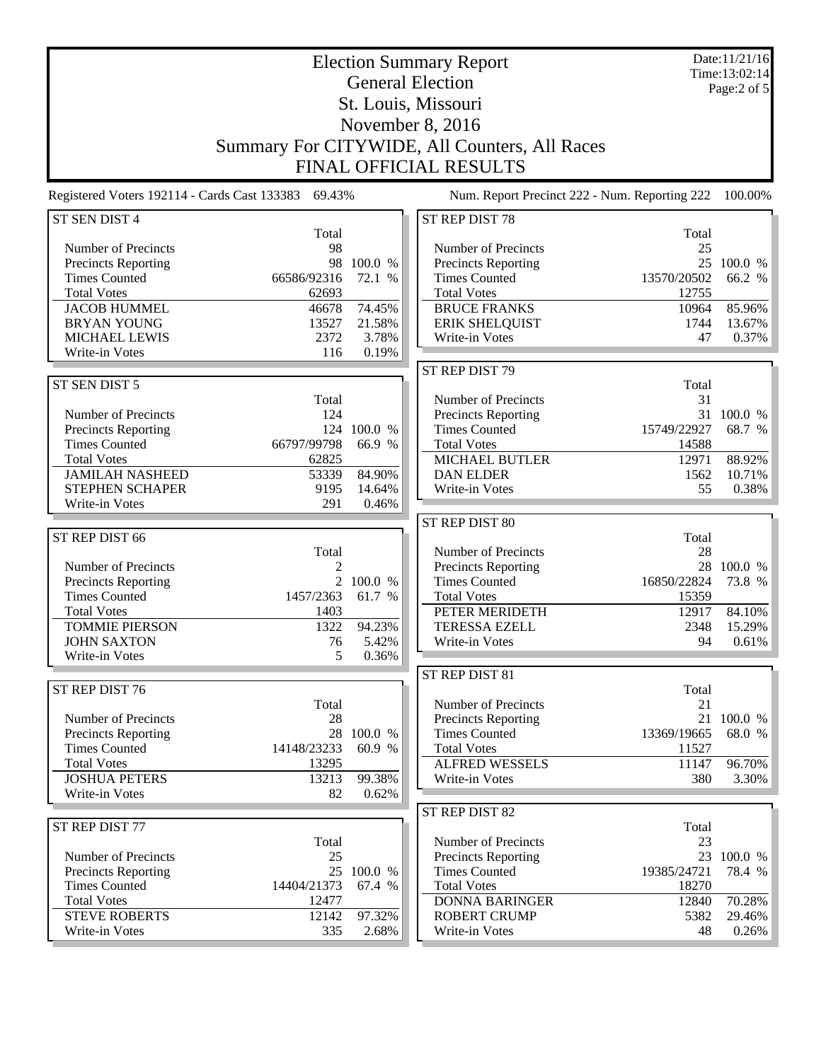| <b>Election Summary Report</b><br><b>General Election</b> |                                                     |                  |                                                    |                                               | Date:11/21/16<br>Time:13:02:14 |  |
|-----------------------------------------------------------|-----------------------------------------------------|------------------|----------------------------------------------------|-----------------------------------------------|--------------------------------|--|
|                                                           |                                                     |                  |                                                    |                                               | Page: $2$ of $5$               |  |
|                                                           |                                                     |                  | St. Louis, Missouri                                |                                               |                                |  |
|                                                           | November 8, 2016                                    |                  |                                                    |                                               |                                |  |
| Summary For CITYWIDE, All Counters, All Races             |                                                     |                  |                                                    |                                               |                                |  |
|                                                           |                                                     |                  | <b>FINAL OFFICIAL RESULTS</b>                      |                                               |                                |  |
|                                                           |                                                     |                  |                                                    |                                               |                                |  |
|                                                           | Registered Voters 192114 - Cards Cast 133383 69.43% |                  |                                                    | Num. Report Precinct 222 - Num. Reporting 222 | 100.00%                        |  |
| ST SEN DIST 4                                             | Total                                               |                  | ST REP DIST 78                                     | Total                                         |                                |  |
| Number of Precincts                                       | 98                                                  |                  | Number of Precincts                                | 25                                            |                                |  |
| <b>Precincts Reporting</b>                                |                                                     | 98 100.0 %       | <b>Precincts Reporting</b>                         |                                               | 25 100.0 %                     |  |
| <b>Times Counted</b>                                      | 66586/92316                                         | 72.1 %           | <b>Times Counted</b>                               | 13570/20502                                   | 66.2 %                         |  |
| <b>Total Votes</b>                                        | 62693                                               |                  | <b>Total Votes</b>                                 | 12755                                         |                                |  |
| <b>JACOB HUMMEL</b><br><b>BRYAN YOUNG</b>                 | 46678<br>13527                                      | 74.45%<br>21.58% | <b>BRUCE FRANKS</b><br><b>ERIK SHELQUIST</b>       | 10964<br>1744                                 | 85.96%<br>13.67%               |  |
| <b>MICHAEL LEWIS</b>                                      | 2372                                                | 3.78%            | Write-in Votes                                     | 47                                            | 0.37%                          |  |
| Write-in Votes                                            | 116                                                 | 0.19%            |                                                    |                                               |                                |  |
|                                                           |                                                     |                  | ST REP DIST 79                                     |                                               |                                |  |
| ST SEN DIST 5                                             |                                                     |                  |                                                    | Total                                         |                                |  |
|                                                           | Total                                               |                  | Number of Precincts                                | 31                                            |                                |  |
| Number of Precincts                                       | 124                                                 |                  | <b>Precincts Reporting</b>                         |                                               | 31 100.0 %                     |  |
| <b>Precincts Reporting</b>                                |                                                     | 124 100.0 %      | <b>Times Counted</b>                               | 15749/22927                                   | 68.7 %                         |  |
| <b>Times Counted</b>                                      | 66797/99798                                         | 66.9 %           | <b>Total Votes</b>                                 | 14588                                         |                                |  |
| <b>Total Votes</b>                                        | 62825                                               |                  | MICHAEL BUTLER                                     | 12971                                         | 88.92%                         |  |
| <b>JAMILAH NASHEED</b>                                    | 53339                                               | 84.90%           | <b>DAN ELDER</b>                                   | 1562                                          | 10.71%                         |  |
| <b>STEPHEN SCHAPER</b>                                    | 9195                                                | 14.64%           | Write-in Votes                                     | 55                                            | 0.38%                          |  |
| Write-in Votes                                            | 291                                                 | 0.46%            |                                                    |                                               |                                |  |
|                                                           |                                                     |                  | ST REP DIST 80                                     |                                               |                                |  |
| ST REP DIST 66                                            |                                                     |                  |                                                    | Total                                         |                                |  |
| Number of Precincts                                       | Total<br>$\overline{2}$                             |                  | Number of Precincts                                | 28                                            | 28 100.0 %                     |  |
| <b>Precincts Reporting</b>                                |                                                     | 2 100.0 %        | <b>Precincts Reporting</b><br><b>Times Counted</b> | 16850/22824                                   | 73.8 %                         |  |
| <b>Times Counted</b>                                      | 1457/2363                                           | 61.7 %           | <b>Total Votes</b>                                 | 15359                                         |                                |  |
| <b>Total Votes</b>                                        | 1403                                                |                  | PETER MERIDETH                                     | 12917                                         | 84.10%                         |  |
| <b>TOMMIE PIERSON</b>                                     | 1322                                                | 94.23%           | <b>TERESSA EZELL</b>                               | 2348                                          | 15.29%                         |  |
| <b>JOHN SAXTON</b>                                        | 76                                                  | 5.42%            | Write-in Votes                                     | 94                                            | 0.61%                          |  |
| Write-in Votes                                            | 5                                                   | 0.36%            |                                                    |                                               |                                |  |
|                                                           |                                                     |                  | ST REP DIST 81                                     |                                               |                                |  |
| ST REP DIST 76                                            |                                                     |                  |                                                    | Total                                         |                                |  |
|                                                           | Total                                               |                  | Number of Precincts                                | 21                                            |                                |  |
| Number of Precincts                                       | 28                                                  |                  | Precincts Reporting                                |                                               | 21 100.0 %                     |  |
| <b>Precincts Reporting</b>                                |                                                     | 28 100.0 %       | <b>Times Counted</b>                               | 13369/19665                                   | 68.0 %                         |  |
| <b>Times Counted</b>                                      | 14148/23233                                         | 60.9 %           | <b>Total Votes</b>                                 | 11527                                         |                                |  |
| <b>Total Votes</b>                                        | 13295                                               |                  | <b>ALFRED WESSELS</b>                              | 11147                                         | 96.70%                         |  |
| <b>JOSHUA PETERS</b>                                      | 13213                                               | 99.38%           | Write-in Votes                                     | 380                                           | 3.30%                          |  |
| Write-in Votes                                            | 82                                                  | 0.62%            |                                                    |                                               |                                |  |
|                                                           |                                                     |                  | ST REP DIST 82                                     |                                               |                                |  |
| ST REP DIST 77                                            | Total                                               |                  | Number of Precincts                                | Total<br>23                                   |                                |  |
| Number of Precincts                                       | 25                                                  |                  | <b>Precincts Reporting</b>                         |                                               | 23 100.0 %                     |  |
| <b>Precincts Reporting</b>                                |                                                     | 25 100.0 %       | <b>Times Counted</b>                               | 19385/24721                                   | 78.4 %                         |  |
| <b>Times Counted</b>                                      | 14404/21373                                         | 67.4 %           | <b>Total Votes</b>                                 | 18270                                         |                                |  |
| <b>Total Votes</b>                                        | 12477                                               |                  | <b>DONNA BARINGER</b>                              | 12840                                         | 70.28%                         |  |
| <b>STEVE ROBERTS</b>                                      | 12142                                               | 97.32%           | <b>ROBERT CRUMP</b>                                | 5382                                          | 29.46%                         |  |
| Write-in Votes                                            | 335                                                 | 2.68%            | Write-in Votes                                     | 48                                            | 0.26%                          |  |
|                                                           |                                                     |                  |                                                    |                                               |                                |  |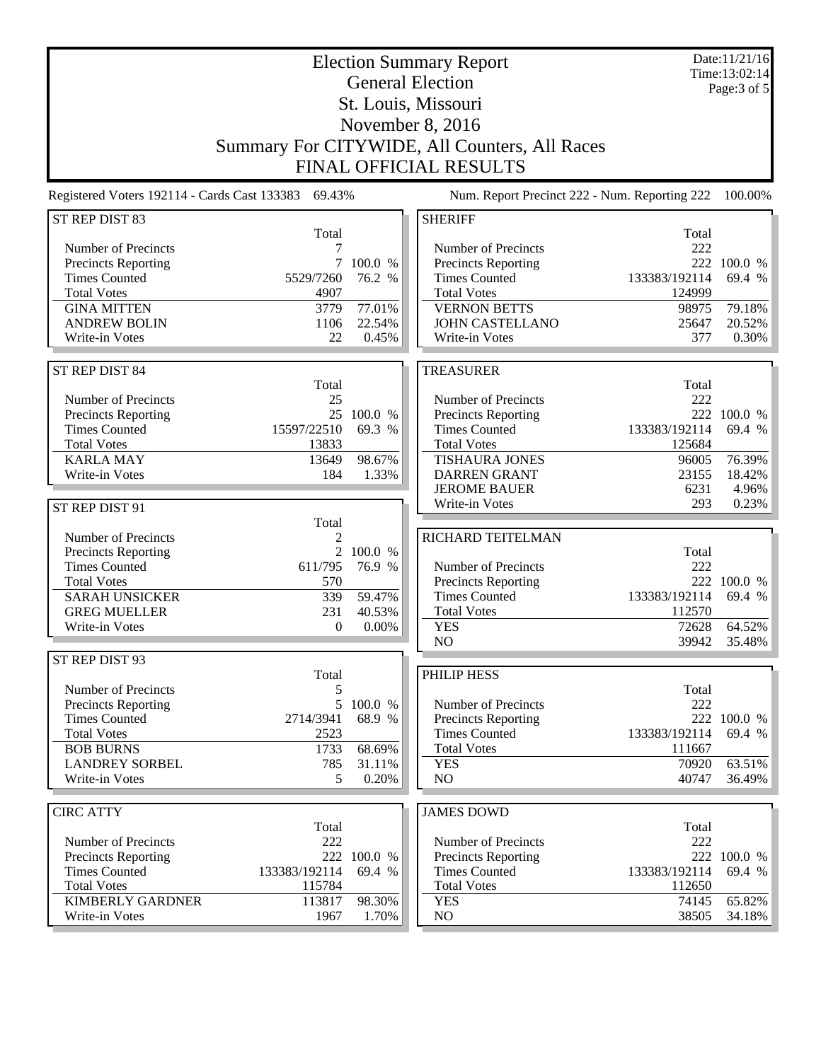| <b>Election Summary Report</b><br><b>General Election</b><br>St. Louis, Missouri |                           |                   |                                               |                         | Date:11/21/16<br>Time:13:02:14<br>Page: 3 of 5 |
|----------------------------------------------------------------------------------|---------------------------|-------------------|-----------------------------------------------|-------------------------|------------------------------------------------|
|                                                                                  |                           |                   |                                               |                         |                                                |
| November 8, 2016                                                                 |                           |                   |                                               |                         |                                                |
|                                                                                  |                           |                   | Summary For CITYWIDE, All Counters, All Races |                         |                                                |
|                                                                                  |                           |                   | <b>FINAL OFFICIAL RESULTS</b>                 |                         |                                                |
| Registered Voters 192114 - Cards Cast 133383 69.43%                              |                           |                   | Num. Report Precinct 222 - Num. Reporting 222 |                         | 100.00%                                        |
| ST REP DIST 83                                                                   |                           |                   | <b>SHERIFF</b>                                |                         |                                                |
| Number of Precincts                                                              | Total<br>7                |                   | Number of Precincts                           | Total<br>222            |                                                |
| <b>Precincts Reporting</b>                                                       |                           | 7 100.0 %         | Precincts Reporting                           |                         | 222 100.0 %                                    |
| <b>Times Counted</b>                                                             | 5529/7260                 | 76.2 %            | <b>Times Counted</b>                          | 133383/192114           | 69.4 %                                         |
| <b>Total Votes</b>                                                               | 4907                      |                   | <b>Total Votes</b>                            | 124999                  |                                                |
| <b>GINA MITTEN</b>                                                               | 3779                      | 77.01%            | <b>VERNON BETTS</b>                           | 98975                   | 79.18%                                         |
| <b>ANDREW BOLIN</b>                                                              | 1106                      | 22.54%            | <b>JOHN CASTELLANO</b>                        | 25647                   | 20.52%                                         |
| Write-in Votes                                                                   | 22                        | 0.45%             | Write-in Votes                                | 377                     | 0.30%                                          |
| ST REP DIST 84                                                                   |                           |                   | <b>TREASURER</b>                              |                         |                                                |
|                                                                                  | Total                     |                   |                                               | Total                   |                                                |
| Number of Precincts                                                              | 25                        |                   | Number of Precincts                           | 222                     |                                                |
| Precincts Reporting                                                              |                           | 25 100.0 %        | Precincts Reporting                           |                         | 222 100.0 %                                    |
| <b>Times Counted</b><br><b>Total Votes</b>                                       | 15597/22510<br>13833      | 69.3 %            | <b>Times Counted</b><br><b>Total Votes</b>    | 133383/192114<br>125684 | 69.4 %                                         |
| <b>KARLA MAY</b>                                                                 | 13649                     | 98.67%            | <b>TISHAURA JONES</b>                         | 96005                   | 76.39%                                         |
| Write-in Votes                                                                   | 184                       | 1.33%             | <b>DARREN GRANT</b>                           | 23155                   | 18.42%                                         |
|                                                                                  |                           |                   | <b>JEROME BAUER</b>                           | 6231                    | 4.96%                                          |
| ST REP DIST 91                                                                   |                           |                   | Write-in Votes                                | 293                     | 0.23%                                          |
|                                                                                  | Total                     |                   |                                               |                         |                                                |
| Number of Precincts                                                              | 2                         |                   | RICHARD TEITELMAN                             |                         |                                                |
| Precincts Reporting<br><b>Times Counted</b>                                      | $\overline{2}$<br>611/795 | 100.0 %<br>76.9 % | Number of Precincts                           | Total<br>222            |                                                |
| <b>Total Votes</b>                                                               | 570                       |                   | Precincts Reporting                           |                         | 222 100.0 %                                    |
| <b>SARAH UNSICKER</b>                                                            | 339                       | 59.47%            | <b>Times Counted</b>                          | 133383/192114           | 69.4 %                                         |
| <b>GREG MUELLER</b>                                                              | 231                       | 40.53%            | <b>Total Votes</b>                            | 112570                  |                                                |
| Write-in Votes                                                                   | $\Omega$                  | 0.00%             | <b>YES</b>                                    | 72628                   | 64.52%                                         |
|                                                                                  |                           |                   | NO                                            | 39942                   | 35.48%                                         |
| ST REP DIST 93                                                                   |                           |                   |                                               |                         |                                                |
| Number of Precincts                                                              | Total<br>5                |                   | PHILIP HESS                                   | Total                   |                                                |
| Precincts Reporting                                                              | 5                         | 100.0 %           | Number of Precincts                           | 222                     |                                                |
| <b>Times Counted</b>                                                             | 2714/3941                 | 68.9 %            | Precincts Reporting                           |                         | 222 100.0 %                                    |
| <b>Total Votes</b>                                                               | 2523                      |                   | <b>Times Counted</b>                          | 133383/192114           | 69.4 %                                         |
| <b>BOB BURNS</b>                                                                 | 1733                      | 68.69%            | <b>Total Votes</b>                            | 111667                  |                                                |
| <b>LANDREY SORBEL</b>                                                            | 785                       | 31.11%            | <b>YES</b>                                    | 70920                   | 63.51%                                         |
| Write-in Votes                                                                   | 5                         | 0.20%             | NO.                                           | 40747                   | 36.49%                                         |
| <b>CIRC ATTY</b>                                                                 |                           |                   | <b>JAMES DOWD</b>                             |                         |                                                |
|                                                                                  | Total                     |                   |                                               | Total                   |                                                |
| Number of Precincts                                                              | 222                       |                   | Number of Precincts                           | 222                     |                                                |
| Precincts Reporting                                                              | 222                       | 100.0 %           | Precincts Reporting                           |                         | 222 100.0 %                                    |
| <b>Times Counted</b>                                                             | 133383/192114             | 69.4 %            | <b>Times Counted</b>                          | 133383/192114           | 69.4 %                                         |
| <b>Total Votes</b>                                                               | 115784                    |                   | <b>Total Votes</b>                            | 112650                  |                                                |
| <b>KIMBERLY GARDNER</b><br>Write-in Votes                                        | 113817<br>1967            | 98.30%            | <b>YES</b><br>NO.                             | 74145<br>38505          | 65.82%<br>34.18%                               |
|                                                                                  |                           | 1.70%             |                                               |                         |                                                |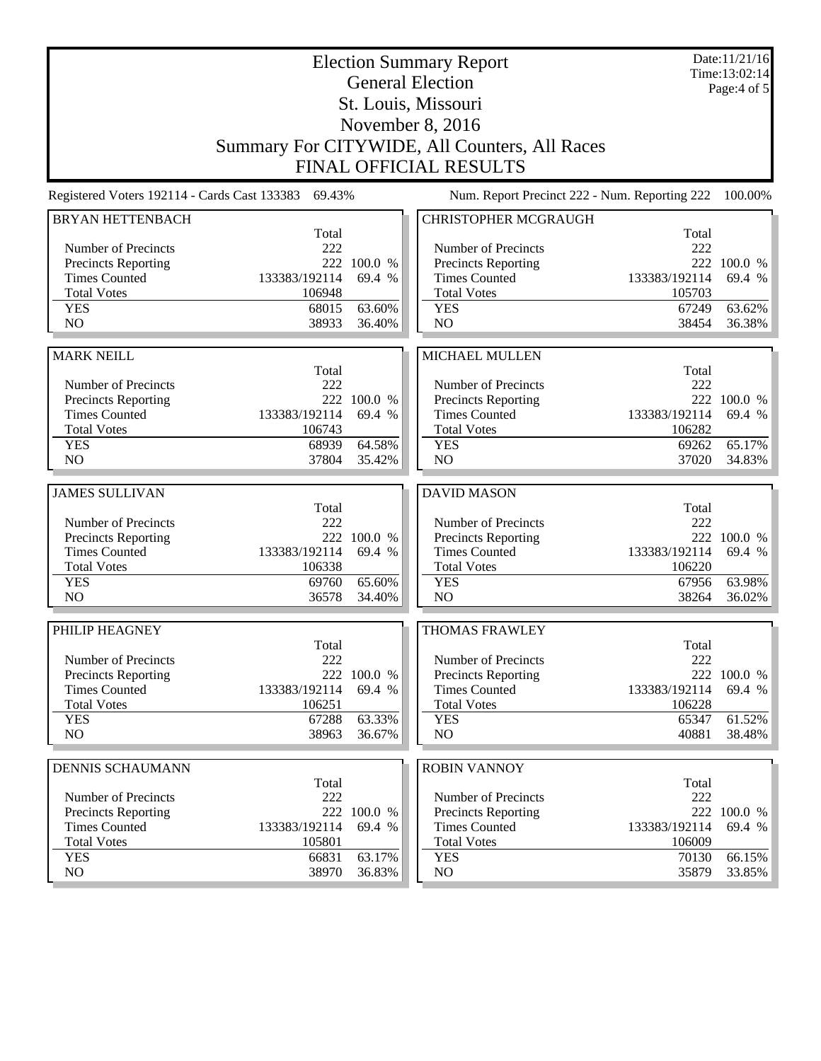| <b>Election Summary Report</b><br><b>General Election</b>         |                                                     |                  |                                               |                | Date:11/21/16<br>Time:13:02:14<br>Page: $4$ of $5$ |
|-------------------------------------------------------------------|-----------------------------------------------------|------------------|-----------------------------------------------|----------------|----------------------------------------------------|
| St. Louis, Missouri                                               |                                                     |                  |                                               |                |                                                    |
| November 8, 2016<br>Summary For CITYWIDE, All Counters, All Races |                                                     |                  |                                               |                |                                                    |
|                                                                   |                                                     |                  |                                               |                |                                                    |
|                                                                   |                                                     |                  | <b>FINAL OFFICIAL RESULTS</b>                 |                |                                                    |
|                                                                   | Registered Voters 192114 - Cards Cast 133383 69.43% |                  | Num. Report Precinct 222 - Num. Reporting 222 |                | 100.00%                                            |
| <b>BRYAN HETTENBACH</b>                                           | Total                                               |                  | <b>CHRISTOPHER MCGRAUGH</b>                   | Total          |                                                    |
| Number of Precincts                                               | 222                                                 |                  | Number of Precincts                           | 222            |                                                    |
| <b>Precincts Reporting</b>                                        |                                                     | 222 100.0 %      | Precincts Reporting                           |                | 222 100.0 %                                        |
| <b>Times Counted</b>                                              | 133383/192114                                       | 69.4 %           | <b>Times Counted</b>                          | 133383/192114  | 69.4 %                                             |
| <b>Total Votes</b>                                                | 106948                                              |                  | <b>Total Votes</b>                            | 105703         |                                                    |
| <b>YES</b>                                                        | 68015                                               | 63.60%           | <b>YES</b>                                    | 67249          | 63.62%                                             |
| N <sub>O</sub>                                                    | 38933                                               | 36.40%           | N <sub>O</sub>                                | 38454          | 36.38%                                             |
| <b>MARK NEILL</b>                                                 |                                                     |                  |                                               |                |                                                    |
|                                                                   | Total                                               |                  | <b>MICHAEL MULLEN</b>                         | Total          |                                                    |
| Number of Precincts                                               | 222                                                 |                  | Number of Precincts                           | 222            |                                                    |
| <b>Precincts Reporting</b>                                        |                                                     | 222 100.0 %      | Precincts Reporting                           |                | 222 100.0 %                                        |
| <b>Times Counted</b>                                              | 133383/192114                                       | 69.4 %           | <b>Times Counted</b>                          | 133383/192114  | 69.4 %                                             |
| <b>Total Votes</b>                                                | 106743                                              |                  | <b>Total Votes</b>                            | 106282         |                                                    |
| <b>YES</b>                                                        | 68939                                               | 64.58%           | <b>YES</b>                                    | 69262          | 65.17%                                             |
| NO                                                                | 37804                                               | 35.42%           | N <sub>O</sub>                                | 37020          | 34.83%                                             |
|                                                                   |                                                     |                  |                                               |                |                                                    |
| <b>JAMES SULLIVAN</b>                                             |                                                     |                  | <b>DAVID MASON</b>                            |                |                                                    |
| Number of Precincts                                               | Total<br>222                                        |                  | Number of Precincts                           | Total<br>222   |                                                    |
| Precincts Reporting                                               | 222                                                 | 100.0 %          | Precincts Reporting                           |                | 222 100.0 %                                        |
| <b>Times Counted</b>                                              | 133383/192114                                       | 69.4 %           | <b>Times Counted</b>                          | 133383/192114  | 69.4 %                                             |
| <b>Total Votes</b>                                                | 106338                                              |                  | <b>Total Votes</b>                            | 106220         |                                                    |
| <b>YES</b>                                                        | 69760                                               | 65.60%           | <b>YES</b>                                    | 67956          | 63.98%                                             |
| N <sub>O</sub>                                                    | 36578                                               | 34.40%           | N <sub>O</sub>                                | 38264          | 36.02%                                             |
| PHILIP HEAGNEY                                                    |                                                     |                  | <b>THOMAS FRAWLEY</b>                         |                |                                                    |
|                                                                   | Total                                               |                  |                                               | Total          |                                                    |
| Number of Precincts                                               | 222                                                 |                  | Number of Precincts                           | 222            |                                                    |
| <b>Precincts Reporting</b>                                        |                                                     | 222 100.0 %      | Precincts Reporting                           |                | 222 100.0 %                                        |
| <b>Times Counted</b>                                              | 133383/192114                                       | 69.4 %           | <b>Times Counted</b>                          | 133383/192114  | 69.4 %                                             |
| <b>Total Votes</b>                                                | 106251                                              |                  | <b>Total Votes</b>                            | 106228         |                                                    |
| <b>YES</b><br>NO                                                  | 67288<br>38963                                      | 63.33%<br>36.67% | <b>YES</b><br>NO                              | 65347<br>40881 | 61.52%<br>38.48%                                   |
|                                                                   |                                                     |                  |                                               |                |                                                    |
| <b>DENNIS SCHAUMANN</b>                                           |                                                     |                  | <b>ROBIN VANNOY</b>                           |                |                                                    |
| Number of Precincts                                               | Total<br>222                                        |                  | Number of Precincts                           | Total<br>222   |                                                    |
| <b>Precincts Reporting</b>                                        |                                                     | 222 100.0 %      | <b>Precincts Reporting</b>                    |                | 222 100.0 %                                        |
| <b>Times Counted</b>                                              | 133383/192114                                       | 69.4 %           | <b>Times Counted</b>                          | 133383/192114  | 69.4 %                                             |
| <b>Total Votes</b>                                                | 105801                                              |                  | <b>Total Votes</b>                            | 106009         |                                                    |
| <b>YES</b>                                                        | 66831                                               | 63.17%           | <b>YES</b>                                    | 70130          | 66.15%                                             |
| NO                                                                | 38970                                               | 36.83%           | NO                                            | 35879          | 33.85%                                             |